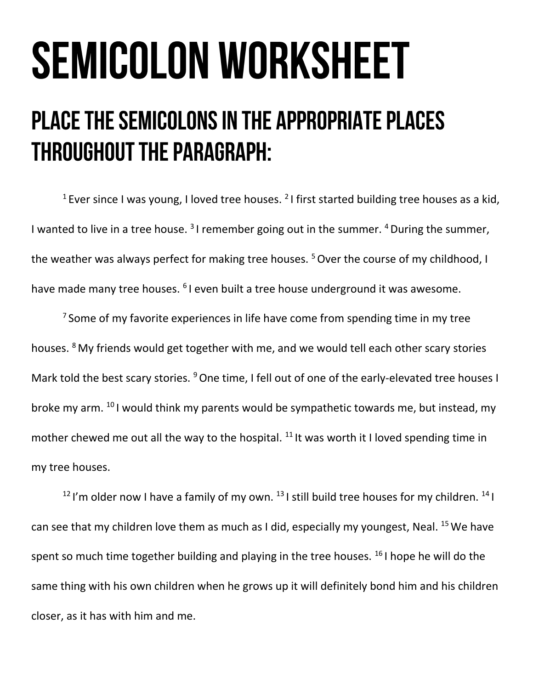## **SEMICOLON WORKSHEET**

## PLACE THE SEMICOLONS IN THE APPROPRIATE PLACES **THROUGHOUT THE PARAGRAPH:**

<sup>1</sup> Ever since I was young, I loved tree houses. <sup>2</sup> I first started building tree houses as a kid, I wanted to live in a tree house.  $31$  remember going out in the summer.  $4$  During the summer, the weather was always perfect for making tree houses.  $5$  Over the course of my childhood, I have made many tree houses. <sup>6</sup>I even built a tree house underground it was awesome.

<sup>7</sup> Some of my favorite experiences in life have come from spending time in my tree houses. <sup>8</sup> My friends would get together with me, and we would tell each other scary stories Mark told the best scary stories. <sup>9</sup> One time, I fell out of one of the early-elevated tree houses I broke my arm. <sup>10</sup> I would think my parents would be sympathetic towards me, but instead, my mother chewed me out all the way to the hospital.  $11$  It was worth it I loved spending time in my tree houses.

<sup>12</sup>I'm older now I have a family of my own. <sup>13</sup>I still build tree houses for my children. <sup>14</sup>I can see that my children love them as much as I did, especially my youngest, Neal.  $^{15}$  We have spent so much time together building and playing in the tree houses.  $161$  hope he will do the same thing with his own children when he grows up it will definitely bond him and his children closer, as it has with him and me.